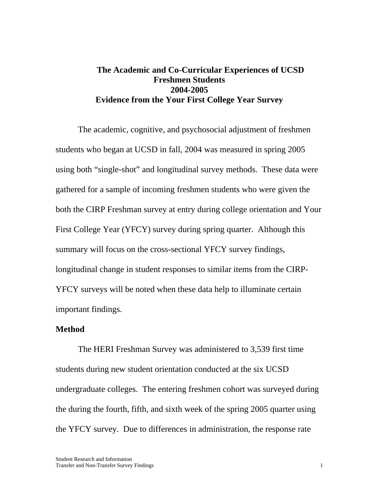# **The Academic and Co-Curricular Experiences of UCSD Freshmen Students 2004-2005 Evidence from the Your First College Year Survey**

The academic, cognitive, and psychosocial adjustment of freshmen students who began at UCSD in fall, 2004 was measured in spring 2005 using both "single-shot" and longitudinal survey methods. These data were gathered for a sample of incoming freshmen students who were given the both the CIRP Freshman survey at entry during college orientation and Your First College Year (YFCY) survey during spring quarter. Although this summary will focus on the cross-sectional YFCY survey findings, longitudinal change in student responses to similar items from the CIRP-YFCY surveys will be noted when these data help to illuminate certain important findings.

#### **Method**

The HERI Freshman Survey was administered to 3,539 first time students during new student orientation conducted at the six UCSD undergraduate colleges. The entering freshmen cohort was surveyed during the during the fourth, fifth, and sixth week of the spring 2005 quarter using the YFCY survey. Due to differences in administration, the response rate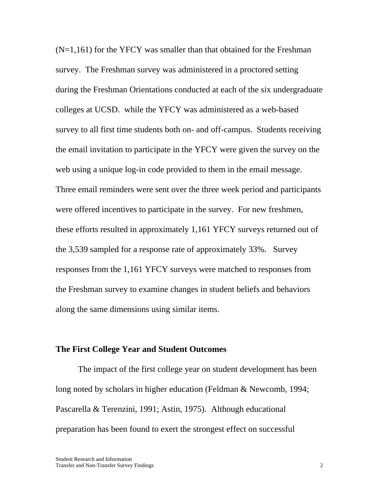$(N=1,161)$  for the YFCY was smaller than that obtained for the Freshman survey. The Freshman survey was administered in a proctored setting during the Freshman Orientations conducted at each of the six undergraduate colleges at UCSD. while the YFCY was administered as a web-based survey to all first time students both on- and off-campus. Students receiving the email invitation to participate in the YFCY were given the survey on the web using a unique log-in code provided to them in the email message. Three email reminders were sent over the three week period and participants were offered incentives to participate in the survey. For new freshmen, these efforts resulted in approximately 1,161 YFCY surveys returned out of the 3,539 sampled for a response rate of approximately 33%. Survey responses from the 1,161 YFCY surveys were matched to responses from the Freshman survey to examine changes in student beliefs and behaviors along the same dimensions using similar items.

#### **The First College Year and Student Outcomes**

The impact of the first college year on student development has been long noted by scholars in higher education (Feldman & Newcomb, 1994; Pascarella & Terenzini, 1991; Astin, 1975). Although educational preparation has been found to exert the strongest effect on successful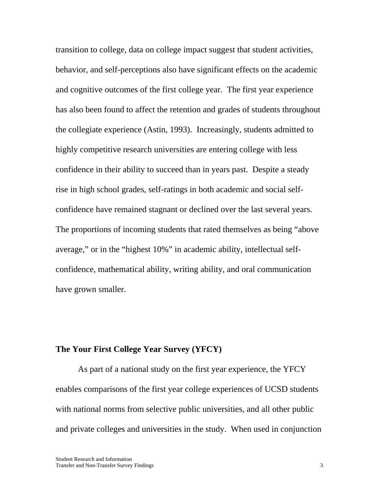transition to college, data on college impact suggest that student activities, behavior, and self-perceptions also have significant effects on the academic and cognitive outcomes of the first college year. The first year experience has also been found to affect the retention and grades of students throughout the collegiate experience (Astin, 1993). Increasingly, students admitted to highly competitive research universities are entering college with less confidence in their ability to succeed than in years past. Despite a steady rise in high school grades, self-ratings in both academic and social selfconfidence have remained stagnant or declined over the last several years. The proportions of incoming students that rated themselves as being "above average," or in the "highest 10%" in academic ability, intellectual selfconfidence, mathematical ability, writing ability, and oral communication have grown smaller.

# **The Your First College Year Survey (YFCY)**

As part of a national study on the first year experience, the YFCY enables comparisons of the first year college experiences of UCSD students with national norms from selective public universities, and all other public and private colleges and universities in the study. When used in conjunction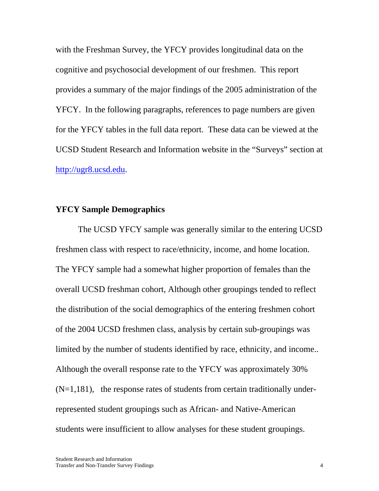with the Freshman Survey, the YFCY provides longitudinal data on the cognitive and psychosocial development of our freshmen. This report provides a summary of the major findings of the 2005 administration of the YFCY. In the following paragraphs, references to page numbers are given for the YFCY tables in the full data report. These data can be viewed at the UCSD Student Research and Information website in the "Surveys" section at http://ugr8.ucsd.edu.

## **YFCY Sample Demographics**

 The UCSD YFCY sample was generally similar to the entering UCSD freshmen class with respect to race/ethnicity, income, and home location. The YFCY sample had a somewhat higher proportion of females than the overall UCSD freshman cohort, Although other groupings tended to reflect the distribution of the social demographics of the entering freshmen cohort of the 2004 UCSD freshmen class, analysis by certain sub-groupings was limited by the number of students identified by race, ethnicity, and income.. Although the overall response rate to the YFCY was approximately 30%  $(N=1,181)$ , the response rates of students from certain traditionally underrepresented student groupings such as African- and Native-American students were insufficient to allow analyses for these student groupings.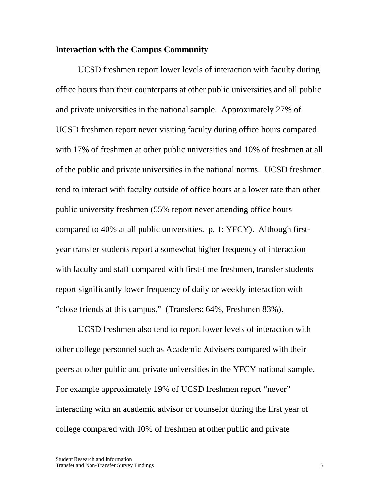### I**nteraction with the Campus Community**

UCSD freshmen report lower levels of interaction with faculty during office hours than their counterparts at other public universities and all public and private universities in the national sample. Approximately 27% of UCSD freshmen report never visiting faculty during office hours compared with 17% of freshmen at other public universities and 10% of freshmen at all of the public and private universities in the national norms. UCSD freshmen tend to interact with faculty outside of office hours at a lower rate than other public university freshmen (55% report never attending office hours compared to 40% at all public universities. p. 1: YFCY). Although firstyear transfer students report a somewhat higher frequency of interaction with faculty and staff compared with first-time freshmen, transfer students report significantly lower frequency of daily or weekly interaction with "close friends at this campus." (Transfers: 64%, Freshmen 83%).

UCSD freshmen also tend to report lower levels of interaction with other college personnel such as Academic Advisers compared with their peers at other public and private universities in the YFCY national sample. For example approximately 19% of UCSD freshmen report "never" interacting with an academic advisor or counselor during the first year of college compared with 10% of freshmen at other public and private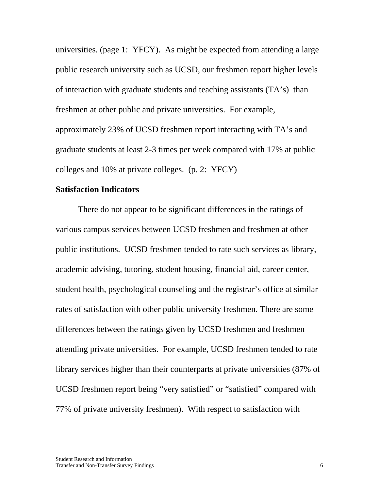universities. (page 1: YFCY). As might be expected from attending a large public research university such as UCSD, our freshmen report higher levels of interaction with graduate students and teaching assistants (TA's) than freshmen at other public and private universities. For example, approximately 23% of UCSD freshmen report interacting with TA's and graduate students at least 2-3 times per week compared with 17% at public colleges and 10% at private colleges. (p. 2: YFCY)

### **Satisfaction Indicators**

There do not appear to be significant differences in the ratings of various campus services between UCSD freshmen and freshmen at other public institutions. UCSD freshmen tended to rate such services as library, academic advising, tutoring, student housing, financial aid, career center, student health, psychological counseling and the registrar's office at similar rates of satisfaction with other public university freshmen. There are some differences between the ratings given by UCSD freshmen and freshmen attending private universities. For example, UCSD freshmen tended to rate library services higher than their counterparts at private universities (87% of UCSD freshmen report being "very satisfied" or "satisfied" compared with 77% of private university freshmen). With respect to satisfaction with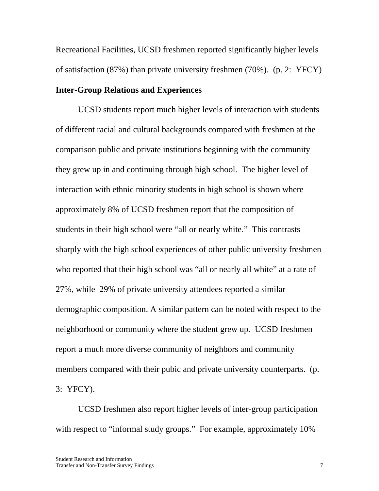Recreational Facilities, UCSD freshmen reported significantly higher levels of satisfaction (87%) than private university freshmen (70%). (p. 2: YFCY)

# **Inter-Group Relations and Experiences**

 UCSD students report much higher levels of interaction with students of different racial and cultural backgrounds compared with freshmen at the comparison public and private institutions beginning with the community they grew up in and continuing through high school. The higher level of interaction with ethnic minority students in high school is shown where approximately 8% of UCSD freshmen report that the composition of students in their high school were "all or nearly white." This contrasts sharply with the high school experiences of other public university freshmen who reported that their high school was "all or nearly all white" at a rate of 27%, while 29% of private university attendees reported a similar demographic composition. A similar pattern can be noted with respect to the neighborhood or community where the student grew up. UCSD freshmen report a much more diverse community of neighbors and community members compared with their pubic and private university counterparts. (p. 3: YFCY).

 UCSD freshmen also report higher levels of inter-group participation with respect to "informal study groups." For example, approximately 10%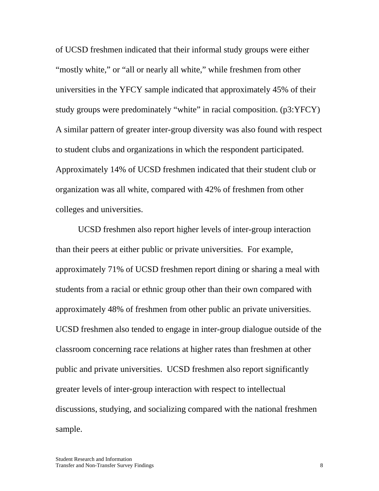of UCSD freshmen indicated that their informal study groups were either "mostly white," or "all or nearly all white," while freshmen from other universities in the YFCY sample indicated that approximately 45% of their study groups were predominately "white" in racial composition. (p3:YFCY) A similar pattern of greater inter-group diversity was also found with respect to student clubs and organizations in which the respondent participated. Approximately 14% of UCSD freshmen indicated that their student club or organization was all white, compared with 42% of freshmen from other colleges and universities.

 UCSD freshmen also report higher levels of inter-group interaction than their peers at either public or private universities. For example, approximately 71% of UCSD freshmen report dining or sharing a meal with students from a racial or ethnic group other than their own compared with approximately 48% of freshmen from other public an private universities. UCSD freshmen also tended to engage in inter-group dialogue outside of the classroom concerning race relations at higher rates than freshmen at other public and private universities. UCSD freshmen also report significantly greater levels of inter-group interaction with respect to intellectual discussions, studying, and socializing compared with the national freshmen sample.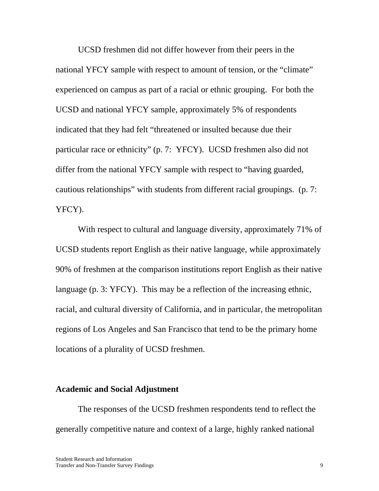UCSD freshmen did not differ however from their peers in the national YFCY sample with respect to amount of tension, or the "climate" experienced on campus as part of a racial or ethnic grouping. For both the UCSD and national YFCY sample, approximately 5% of respondents indicated that they had felt "threatened or insulted because due their particular race or ethnicity" (p. 7: YFCY). UCSD freshmen also did not differ from the national YFCY sample with respect to "having guarded, cautious relationships" with students from different racial groupings. (p. 7: YFCY).

With respect to cultural and language diversity, approximately 71% of UCSD students report English as their native language, while approximately 90% of freshmen at the comparison institutions report English as their native language (p. 3: YFCY). This may be a reflection of the increasing ethnic, racial, and cultural diversity of California, and in particular, the metropolitan regions of Los Angeles and San Francisco that tend to be the primary home locations of a plurality of UCSD freshmen.

### **Academic and Social Adjustment**

 The responses of the UCSD freshmen respondents tend to reflect the generally competitive nature and context of a large, highly ranked national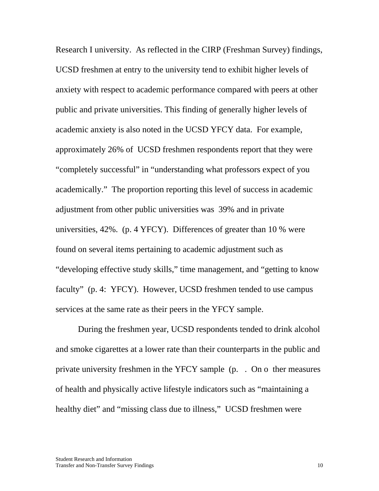Research I university. As reflected in the CIRP (Freshman Survey) findings, UCSD freshmen at entry to the university tend to exhibit higher levels of anxiety with respect to academic performance compared with peers at other public and private universities. This finding of generally higher levels of academic anxiety is also noted in the UCSD YFCY data. For example, approximately 26% of UCSD freshmen respondents report that they were "completely successful" in "understanding what professors expect of you academically." The proportion reporting this level of success in academic adjustment from other public universities was 39% and in private universities, 42%. (p. 4 YFCY). Differences of greater than 10 % were found on several items pertaining to academic adjustment such as "developing effective study skills," time management, and "getting to know faculty" (p. 4: YFCY). However, UCSD freshmen tended to use campus services at the same rate as their peers in the YFCY sample.

 During the freshmen year, UCSD respondents tended to drink alcohol and smoke cigarettes at a lower rate than their counterparts in the public and private university freshmen in the YFCY sample (p. . On o ther measures of health and physically active lifestyle indicators such as "maintaining a healthy diet" and "missing class due to illness," UCSD freshmen were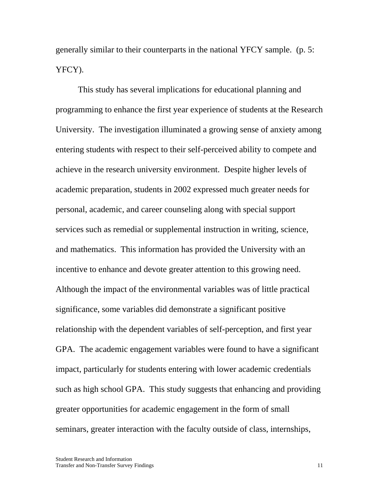generally similar to their counterparts in the national YFCY sample. (p. 5: YFCY).

This study has several implications for educational planning and programming to enhance the first year experience of students at the Research University. The investigation illuminated a growing sense of anxiety among entering students with respect to their self-perceived ability to compete and achieve in the research university environment. Despite higher levels of academic preparation, students in 2002 expressed much greater needs for personal, academic, and career counseling along with special support services such as remedial or supplemental instruction in writing, science, and mathematics. This information has provided the University with an incentive to enhance and devote greater attention to this growing need. Although the impact of the environmental variables was of little practical significance, some variables did demonstrate a significant positive relationship with the dependent variables of self-perception, and first year GPA. The academic engagement variables were found to have a significant impact, particularly for students entering with lower academic credentials such as high school GPA. This study suggests that enhancing and providing greater opportunities for academic engagement in the form of small seminars, greater interaction with the faculty outside of class, internships,